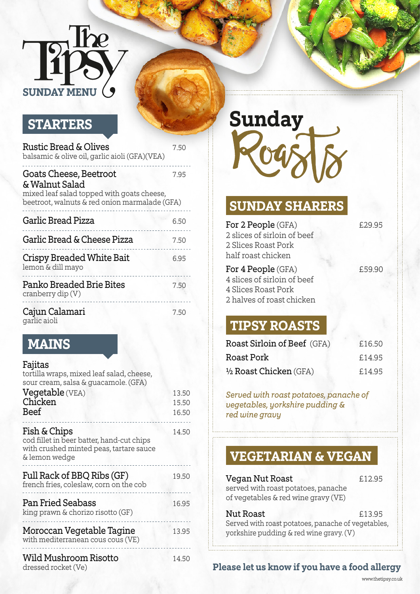# $$  $\overline{r}$ **SUNDAY MENU**

#### **STARTERS**

| Rustic Bread & Olives<br>balsamic & olive oil, garlic aioli (GFA)(VEA)                                                                  | 7.50 |
|-----------------------------------------------------------------------------------------------------------------------------------------|------|
| Goats Cheese, Beetroot<br>& Walnut Salad<br>mixed leaf salad topped with goats cheese,<br>beetroot, walnuts & red onion marmalade (GFA) | 7.95 |
| <b>Garlic Bread Pizza</b>                                                                                                               | 6.50 |
| Garlic Bread & Cheese Pizza                                                                                                             | 7.50 |
| <b>Crispy Breaded White Bait</b><br>lemon & dill mayo                                                                                   | 6.95 |
| Panko Breaded Brie Bites<br>cranberry dip $(V)$                                                                                         | 7.50 |
| Cajun Calamari<br>garlic aioli                                                                                                          | 7.50 |

#### **MAINS**

| Fajitas<br>tortilla wraps, mixed leaf salad, cheese,<br>sour cream, salsa & guacamole. (GFA)<br>Vegetable (VEA)<br>Chicken<br><b>Beef</b> | 13.50<br>15.50<br>16.50 |
|-------------------------------------------------------------------------------------------------------------------------------------------|-------------------------|
| Fish & Chips<br>cod fillet in beer batter, hand-cut chips<br>with crushed minted peas, tartare sauce<br>& lemon wedge                     | 14.50                   |
| Full Rack of BBQ Ribs (GF)<br>french fries, coleslaw, corn on the cob                                                                     | 19.50                   |
| Pan Fried Seabass<br>king prawn & chorizo risotto (GF)                                                                                    | 16.95                   |
| Moroccan Vegetable Tagine<br>with mediterranean cous cous (VE)                                                                            | 13.95                   |
| Wild Mushroom Risotto<br>dressed rocket (Ve)                                                                                              | 14.50                   |

**Sunday**

#### **SUNDAY SHARERS**

| For 2 People (GFA)<br>2 slices of sirloin of beef<br>2 Slices Roast Pork<br>half roast chicken               | £29.95 |
|--------------------------------------------------------------------------------------------------------------|--------|
| For 4 People (GFA)<br>4 slices of sirloin of beef<br><b>4 Slices Roast Pork</b><br>2 halves of roast chicken | £59.90 |

### garlic aioli **TIPSY ROASTS**

| Roast Sirloin of Beef (GFA) | £16.50 |
|-----------------------------|--------|
| Roast Pork                  | £14.95 |
| 1/2 Roast Chicken (GFA)     | £14.95 |

*Served with roast potatoes, panache of vegetables, yorkshire pudding & red wine gravy*

#### **VEGETARIAN & VEGAN**

| Vegan Nut Roast<br>served with roast potatoes, panache<br>of vegetables & red wine gravy (VE) | £12.95 |
|-----------------------------------------------------------------------------------------------|--------|
| <b>Nut Roast</b>                                                                              | £13.95 |
| Served with roast potatoes, panache of vegetables,<br>yorkshire pudding & red wine gravy. (V) |        |

#### **Please let us know if you have a food allergy**